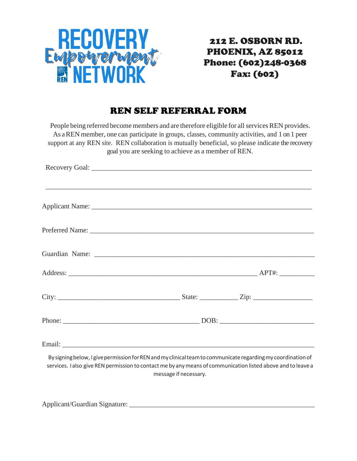

## 212 E. OSBORN RD. PHOENIX, AZ 85012 Phone: (602)248-0368 Fax: (602)

## REN SELF REFERRAL FORM

People being referred become members and are therefore eligible for all services REN provides. As aREN member, one can participate in groups, classes, community activities, and 1 on 1 peer support at any REN site. REN collaboration is mutually beneficial, so please indicate the recovery goal you are seeking to achieve as a member of REN.

| By signing below, I give permission for REN and my clinical team to communicate regarding my coordination of<br>services. I also give REN permission to contact me by any means of communication listed above and to leave a | message if necessary. |  |
|------------------------------------------------------------------------------------------------------------------------------------------------------------------------------------------------------------------------------|-----------------------|--|

Applicant/Guardian Signature: \_\_\_\_\_\_\_\_\_\_\_\_\_\_\_\_\_\_\_\_\_\_\_\_\_\_\_\_\_\_\_\_\_\_\_\_\_\_\_\_\_\_\_\_\_\_\_\_\_\_\_\_\_